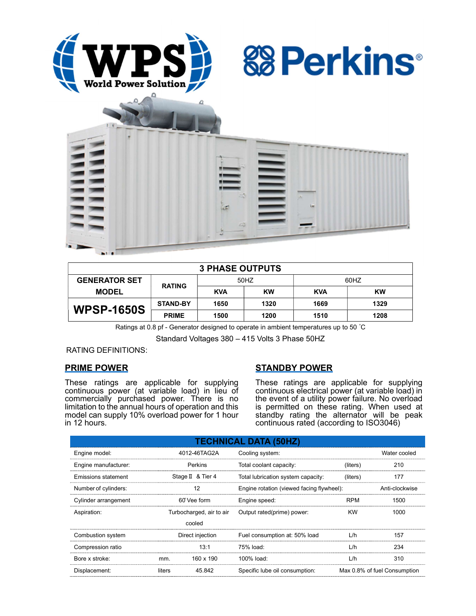





| <b>3 PHASE OUTPUTS</b> |                 |            |      |            |      |  |
|------------------------|-----------------|------------|------|------------|------|--|
| <b>GENERATOR SET</b>   | <b>RATING</b>   | 50HZ       |      | 60HZ       |      |  |
| <b>MODEL</b>           |                 | <b>KVA</b> | KW   | <b>KVA</b> | KW   |  |
| <b>WPSP-1650S</b>      | <b>STAND-BY</b> | 1650       | 1320 | 1669       | 1329 |  |
|                        | <b>PRIME</b>    | 1500       | 1200 | 1510       | 1208 |  |

Ratings at 0.8 pf - Generator designed to operate in ambient temperatures up to 50 °C

Standard Voltages 380 – 415 Volts 3 Phase 50HZ

RATING DEFINITIONS:

# PRIME POWER

These ratings are applicable for supplying continuous power (at variable load) in lieu of commercially purchased power. There is no limitation to the annual hours of operation and this model can supply 10% overload power for 1 hour in 12 hours.

# STANDBY POWER

These ratings are applicable for supplying continuous electrical power (at variable load) in the event of a utility power failure. No overload is permitted on these rating. When used at standby rating the alternator will be peak continuous rated (according to ISO3046)

| <b>TECHNICAL DATA (50HZ)</b> |                  |                          |                                           |            |                              |  |
|------------------------------|------------------|--------------------------|-------------------------------------------|------------|------------------------------|--|
| Engine model:                |                  | 4012-46TAG2A             | Cooling system:                           |            | Water cooled                 |  |
| Engine manufacturer:         |                  | Perkins                  | Total coolant capacity:                   | (liters)   | 210                          |  |
| Emissions statement          |                  | Stage II & Tier 4        | Total lubrication system capacity:        | (liters)   | 177                          |  |
| Number of cylinders:         |                  | 12                       | Engine rotation (viewed facing flywheel): |            | Anti-clockwise               |  |
| Cylinder arrangement         |                  | 60° Vee form             | Engine speed:                             | <b>RPM</b> | 1500                         |  |
| Aspiration:                  |                  | Turbocharged, air to air | Output rated(prime) power:                | <b>KW</b>  | 1000                         |  |
|                              |                  | cooled                   |                                           |            |                              |  |
| Combustion system            | Direct injection |                          | Fuel consumption at: 50% load             | L/h        | 157                          |  |
| Compression ratio            |                  | 13:1                     | 75% load:                                 | L/h        | 234                          |  |
| Bore x stroke:               | mm.              | 160 x 190                | 100% load:                                | L/h        | 310                          |  |
| Displacement:                | liters           | 45.842                   | Specific lube oil consumption:            |            | Max 0.8% of fuel Consumption |  |